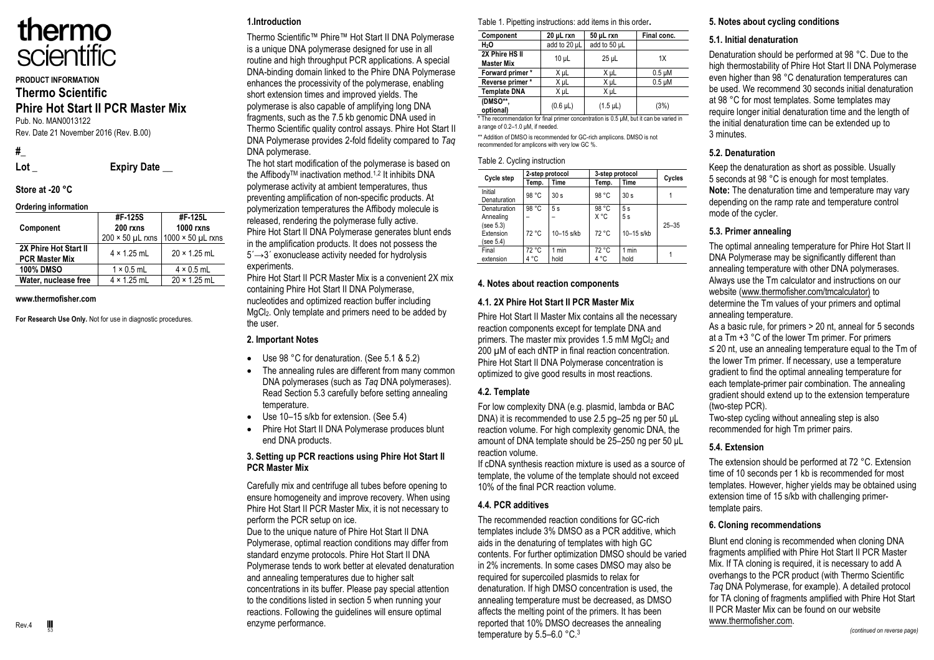

## **PRODUCT INFORMATION Thermo Scientific**

### **Phire Hot Start II PCR Master Mix** Pub. No. MAN0013122

Rev. Date 21 November 2016 (Rev. B.00)

**#\_** 

Lot **Expiry Date** 

#### **Store at -20 °C Ordering information**

| Ordering information                           |                                                  |                                                  |
|------------------------------------------------|--------------------------------------------------|--------------------------------------------------|
| Component                                      | #F-125S<br>$200$ rxns<br>$200 \times 50$ µL rxns | #F 125L<br><b>1000 rxns</b><br>1000 × 50 µL rxns |
| 2X Phire Hot Start II<br><b>PCR Master Mix</b> | $4 \times 1.25$ mL                               | $20 \times 1.25$ mL                              |
| <b>100% DMSO</b>                               | $1 \times 0.5$ mL                                | $4 \times 0.5$ mL                                |
| Water, nuclease free                           | $4 \times 1.25$ mL                               | $20 \times 1.25$ mL                              |

#### **www.thermofisher.com**

**For Research Use Only.** Not for use in diagnostic procedures.

## **1.Introduction**

Thermo Scientific™ Phire™ Hot Start II DNA Polymerase is a unique DNA polymerase designed for use in all routine and high throughput PCR applications. A special DNA-binding domain linked to the Phire DNA Polymerase enhances the processivity of the polymerase, enabling short extension times and improved yields. The polymerase is also capable of amplifying long DNA fragments, such as the 7.5 kb genomic DNA used in Thermo Scientific quality control assays. Phire Hot Start II DNA Polymerase provides 2-fold fidelity compared to *Taq* DNA polymerase.

The hot start modification of the polymerase is based on the Affibody™ inactivation method.<sup>1,2</sup> It inhibits DNA polymerase activity at ambient temperatures, thus preventing amplification of non-specific products. At polymerization temperatures the Affibody molecule is released, rendering the polymerase fully active. Phire Hot Start II DNA Polymerase generates blunt ends in the amplification products. It does not possess the  $5' \rightarrow 3'$  exonuclease activity needed for hydrolysis experiments.

Phire Hot Start II PCR Master Mix is a convenient 2X mix containing Phire Hot Start II DNA Polymerase, nucleotides and optimized reaction buffer including MgCl2. Only template and primers need to be added by the user.

### **2. Important Notes**

- Use 98 °C for denaturation. (See 5.1 & 5.2)
- The annealing rules are different from many common DNA polymerases (such as *Taq* DNA polymerases). Read Section 5.3 carefully before setting annealing temperature.
- Use 10–15 s/kb for extension. (See 5.4)
- Phire Hot Start II DNA Polymerase produces blunt end DNA products.

### **3. Setting up PCR reactions using Phire Hot Start II PCR Master Mix**

Carefully mix and centrifuge all tubes before opening to ensure homogeneity and improve recovery. When using Phire Hot Start II PCR Master Mix, it is not necessary to perform the PCR setup on ice.

Due to the unique nature of Phire Hot Start II DNA Polymerase, optimal reaction conditions may differ from standard enzyme protocols. Phire Hot Start II DNA Polymerase tends to work better at elevated denaturation and annealing temperatures due to higher salt concentrations in its buffer. Please pay special attention to the conditions listed in section 5 when running your reactions. Following the guidelines will ensure optimal enzyme performance.

Table 1. Pipetting instructions: add items in this order**.**

| Component                           | 20 µL rxn       | 50 µL rxn     | Final conc. |
|-------------------------------------|-----------------|---------------|-------------|
| H <sub>2</sub> O                    | add to 20 µL    | add to 50 µL  |             |
| 2X Phire HS II<br><b>Master Mix</b> | 10 <sub>µ</sub> | $25$ µL       | 1X          |
| Forward primer*                     | X µL            | X µL          | $0.5 \mu M$ |
| Reverse primer*                     | X uL            | X µL          | $0.5 \mu M$ |
| <b>Template DNA</b>                 | X µL            | X µL          |             |
| (DMSO**,<br>optional)               | $(0.6 \mu L)$   | $(1.5 \mu L)$ | (3%)        |

\* The recommendation for final primer concentration is 0.5 μM, but it can be varied in a range of 0.2–1.0 μM, if needed.

\*\* Addition of DMSO is recommended for GC-rich amplicons. DMSO is not recommended for amplicons with very low GC %.

#### Table 2. Cycling instruction

| Cycle step                                                       |                | 2-step protocol    |                        | 3-step protocol          |           |
|------------------------------------------------------------------|----------------|--------------------|------------------------|--------------------------|-----------|
|                                                                  | Temp.          | Time               | Temp.                  | Time                     | Cycles    |
| Initial<br>Denaturation                                          | 98 °C          | 30 <sub>s</sub>    | 98 °C                  | 30 <sub>s</sub>          |           |
| Denaturation<br>Annealing<br>(see 5.3)<br>Extension<br>(see 5.4) | 98 °C<br>72 °C | 5s<br>$10-15$ s/kb | 98 °C<br>X °C<br>72 °C | 5s<br>5s<br>$10-15$ s/kb | $25 - 35$ |
| Final<br>extension                                               | 72 °C<br>4 °C  | 1 min<br>hold      | 72 °C<br>4 °C          | 1 min<br>hold            |           |

### **4. Notes about reaction components**

### **4.1. 2X Phire Hot Start II PCR Master Mix**

Phire Hot Start II Master Mix contains all the necessary reaction components except for template DNA and primers. The master mix provides 1.5 mM  $MqCl<sub>2</sub>$  and 200  $\mu$ M of each dNTP in final reaction concentration. Phire Hot Start II DNA Polymerase concentration is optimized to give good results in most reactions.

### **4.2. Template**

For low complexity DNA (e.g. plasmid, lambda or BAC DNA) it is recommended to use 2.5 pg–25 ng per 50 μL reaction volume. For high complexity genomic DNA, the amount of DNA template should be 25-250 ng per 50 uL reaction volume.

If cDNA synthesis reaction mixture is used as a source of template, the volume of the template should not exceed 10% of the final PCR reaction volume.

## **4.4. PCR additives**

The recommended reaction conditions for GC-rich templates include 3% DMSO as a PCR additive, which aids in the denaturing of templates with high GC contents. For further optimization DMSO should be varied in 2% increments. In some cases DMSO may also be required for supercoiled plasmids to relax for denaturation. If high DMSO concentration is used, the annealing temperature must be decreased, as DMSO affects the melting point of the primers. It has been reported that 10% DMSO decreases the annealing temperature by 5.5–6.0 °C.<sup>3</sup>

# **5. Notes about cycling conditions**

## **5.1. Initial denaturation**

Denaturation should be performed at 98 °C. Due to the high thermostability of Phire Hot Start II DNA Polymerase even higher than 98 °C denaturation temperatures can be used. We recommend 30 seconds initial denaturation at 98 °C for most templates. Some templates may require longer initial denaturation time and the length of the initial denaturation time can be extended up to 3 minutes.

## **5.2. Denaturation**

Keep the denaturation as short as possible. Usually 5 seconds at 98 °C is enough for most templates. **Note:** The denaturation time and temperature may vary depending on the ramp rate and temperature control mode of the cycler.

# **5.3. Primer annealing**

The optimal annealing temperature for Phire Hot Start II DNA Polymerase may be significantly different than annealing temperature with other DNA polymerases. Always use the Tm calculator and instructions on our website (www.thermofisher.com/tmcalculator) to determine the Tm values of your primers and optimal annealing temperature.

As a basic rule, for primers > 20 nt, anneal for 5 seconds at a Tm +3 °C of the lower Tm primer. For primers ≤ 20 nt, use an annealing temperature equal to the Tm of the lower Tm primer. If necessary, use a temperature gradient to find the optimal annealing temperature for each template-primer pair combination. The annealing gradient should extend up to the extension temperature (two-step PCR).

Two-step cycling without annealing step is also recommended for high Tm primer pairs.

## **5.4. Extension**

The extension should be performed at 72 °C. Extension time of 10 seconds per 1 kb is recommended for most templates. However, higher yields may be obtained using extension time of 15 s/kb with challenging primertemplate pairs.

## **6. Cloning recommendations**

Blunt end cloning is recommended when cloning DNA fragments amplified with Phire Hot Start II PCR Master Mix. If TA cloning is required, it is necessary to add A overhangs to the PCR product (with Thermo Scientific *Taq* DNA Polymerase, for example). A detailed protocol for TA cloning of fragments amplified with Phire Hot Start II PCR Master Mix can be found on our website www.thermofisher.com.